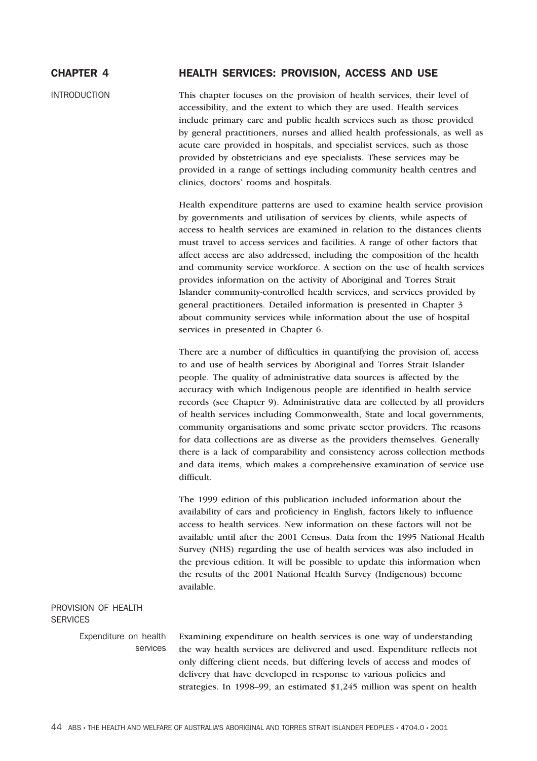# CHAPTER 4 HEALTH SERVICES: PROVISION, ACCESS AND USE

INTRODUCTION This chapter focuses on the provision of health services, their level of accessibility, and the extent to which they are used. Health services include primary care and public health services such as those provided by general practitioners, nurses and allied health professionals, as well as acute care provided in hospitals, and specialist services, such as those provided by obstetricians and eye specialists. These services may be provided in a range of settings including community health centres and clinics, doctors' rooms and hospitals.

> Health expenditure patterns are used to examine health service provision by governments and utilisation of services by clients, while aspects of access to health services are examined in relation to the distances clients must travel to access services and facilities. A range of other factors that affect access are also addressed, including the composition of the health and community service workforce. A section on the use of health services provides information on the activity of Aboriginal and Torres Strait Islander community-controlled health services, and services provided by general practitioners. Detailed information is presented in Chapter 3 about community services while information about the use of hospital services in presented in Chapter 6.

> There are a number of difficulties in quantifying the provision of, access to and use of health services by Aboriginal and Torres Strait Islander people. The quality of administrative data sources is affected by the accuracy with which Indigenous people are identified in health service records (see Chapter 9). Administrative data are collected by all providers of health services including Commonwealth, State and local governments, community organisations and some private sector providers. The reasons for data collections are as diverse as the providers themselves. Generally there is a lack of comparability and consistency across collection methods and data items, which makes a comprehensive examination of service use difficult.

> The 1999 edition of this publication included information about the availability of cars and proficiency in English, factors likely to influence access to health services. New information on these factors will not be available until after the 2001 Census. Data from the 1995 National Health Survey (NHS) regarding the use of health services was also included in the previous edition. It will be possible to update this information when the results of the 2001 National Health Survey (Indigenous) become available.

# PROVISION OF HEALTH **SERVICES**

Expenditure on health services

Examining expenditure on health services is one way of understanding the way health services are delivered and used. Expenditure reflects not only differing client needs, but differing levels of access and modes of delivery that have developed in response to various policies and strategies. In 1998–99, an estimated \$1,245 million was spent on health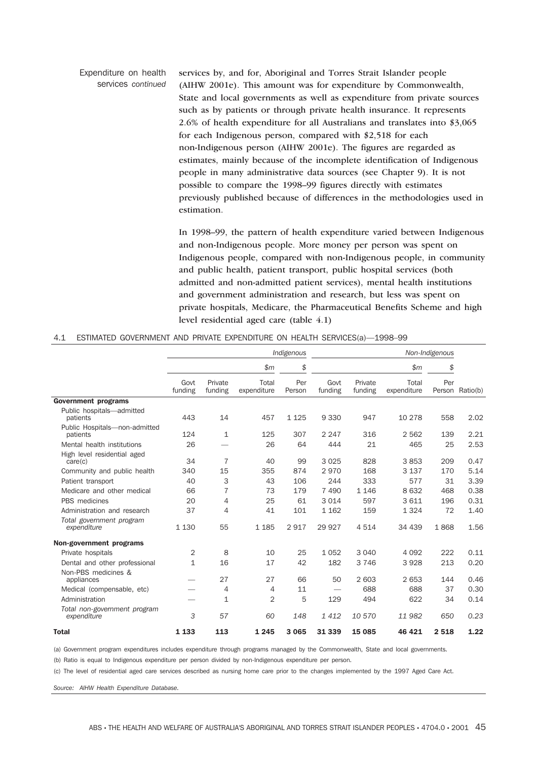Expenditure on health services *continued* services by, and for, Aboriginal and Torres Strait Islander people (AIHW 2001e). This amount was for expenditure by Commonwealth, State and local governments as well as expenditure from private sources such as by patients or through private health insurance. It represents 2.6% of health expenditure for all Australians and translates into \$3,065 for each Indigenous person, compared with \$2,518 for each non-Indigenous person (AIHW 2001e). The figures are regarded as estimates, mainly because of the incomplete identification of Indigenous people in many administrative data sources (see Chapter 9). It is not possible to compare the 1998–99 figures directly with estimates previously published because of differences in the methodologies used in estimation.

> In 1998–99, the pattern of health expenditure varied between Indigenous and non-Indigenous people. More money per person was spent on Indigenous people, compared with non-Indigenous people, in community and public health, patient transport, public hospital services (both admitted and non-admitted patient services), mental health institutions and government administration and research, but less was spent on private hospitals, Medicare, the Pharmaceutical Benefits Scheme and high level residential aged care (table 4.1)

#### 4.1 ESTIMATED GOVERNMENT AND PRIVATE EXPENDITURE ON HEALTH SERVICES(a)—1998–99

|                                             | Indigenous      |                    |                      |               |                 |                    | Non-Indigenous       |         |                 |  |  |
|---------------------------------------------|-----------------|--------------------|----------------------|---------------|-----------------|--------------------|----------------------|---------|-----------------|--|--|
|                                             |                 |                    | \$m\$                | \$            |                 |                    | \$m                  | \$      |                 |  |  |
|                                             | Govt<br>funding | Private<br>funding | Total<br>expenditure | Per<br>Person | Govt<br>funding | Private<br>funding | Total<br>expenditure | Per     | Person Ratio(b) |  |  |
| <b>Government programs</b>                  |                 |                    |                      |               |                 |                    |                      |         |                 |  |  |
| Public hospitals-admitted<br>patients       | 443             | 14                 | 457                  | 1 1 2 5       | 9 3 3 0         | 947                | 10 278               | 558     | 2.02            |  |  |
| Public Hospitals-non-admitted<br>patients   | 124             | 1                  | 125                  | 307           | 2 2 4 7         | 316                | 2 5 6 2              | 139     | 2.21            |  |  |
| Mental health institutions                  | 26              |                    | 26                   | 64            | 444             | 21                 | 465                  | 25      | 2.53            |  |  |
| High level residential aged<br>care(c)      | 34              | $\overline{7}$     | 40                   | 99            | 3 0 2 5         | 828                | 3853                 | 209     | 0.47            |  |  |
| Community and public health                 | 340             | 15                 | 355                  | 874           | 2970            | 168                | 3 1 3 7              | 170     | 5.14            |  |  |
| Patient transport                           | 40              | 3                  | 43                   | 106           | 244             | 333                | 577                  | 31      | 3.39            |  |  |
| Medicare and other medical                  | 66              | $\overline{7}$     | 73                   | 179           | 7 4 9 0         | 1 1 4 6            | 8 6 3 2              | 468     | 0.38            |  |  |
| PBS medicines                               | 20              | 4                  | 25                   | 61            | 3 0 1 4         | 597                | 3611                 | 196     | 0.31            |  |  |
| Administration and research                 | 37              | 4                  | 41                   | 101           | 1 1 6 2         | 159                | 1324                 | 72      | 1.40            |  |  |
| Total government program<br>expenditure     | 1 1 3 0         | 55                 | 1 1 8 5              | 2917          | 29 9 27         | 4514               | 34 439               | 1868    | 1.56            |  |  |
| Non-government programs                     |                 |                    |                      |               |                 |                    |                      |         |                 |  |  |
| Private hospitals                           | 2               | 8                  | 10                   | 25            | 1 0 5 2         | 3 0 4 0            | 4 0 9 2              | 222     | 0.11            |  |  |
| Dental and other professional               | $\mathbf{1}$    | 16                 | 17                   | 42            | 182             | 3 7 4 6            | 3928                 | 213     | 0.20            |  |  |
| Non-PBS medicines &<br>appliances           |                 | 27                 | 27                   | 66            | 50              | 2 603              | 2 6 5 3              | 144     | 0.46            |  |  |
| Medical (compensable, etc)                  |                 | 4                  | 4                    | 11            |                 | 688                | 688                  | 37      | 0.30            |  |  |
| Administration                              |                 | 1                  | 2                    | 5             | 129             | 494                | 622                  | 34      | 0.14            |  |  |
| Total non-government program<br>expenditure | 3               | 57                 | 60                   | 148           | 1 4 1 2         | 10 570             | 11982                | 650     | 0.23            |  |  |
| <b>Total</b>                                | 1 1 3 3         | 113                | 1 2 4 5              | 3 0 6 5       | 31 339          | 15 085             | 46 421               | 2 5 1 8 | 1.22            |  |  |

(a) Government program expenditures includes expenditure through programs managed by the Commonwealth, State and local governments.

(b) Ratio is equal to Indigenous expenditure per person divided by non-Indigenous expenditure per person.

(c) The level of residential aged care services described as nursing home care prior to the changes implemented by the 1997 Aged Care Act.

*Source: AIHW Health Expenditure Database.*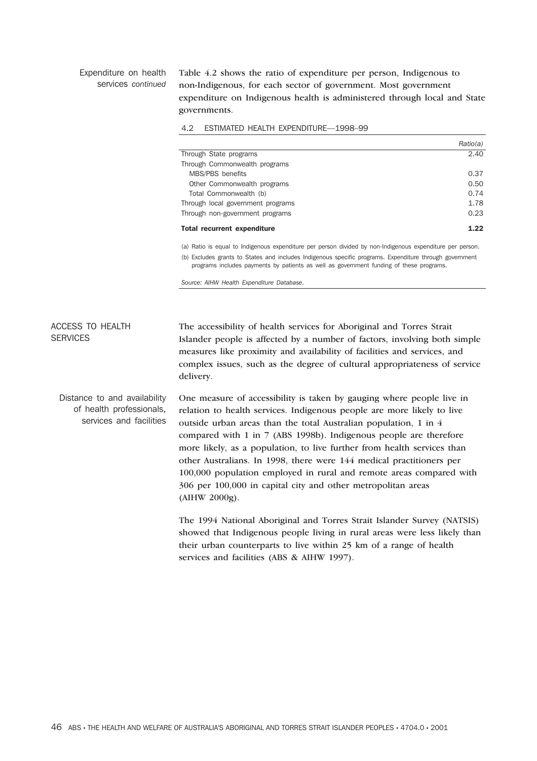### Expenditure on health services *continued*

Table 4.2 shows the ratio of expenditure per person, Indigenous to non-Indigenous, for each sector of government. Most government expenditure on Indigenous health is administered through local and State governments.

|  |  |  | 4.2 ESTIMATED HEALTH EXPENDITURE-1998-99 |  |
|--|--|--|------------------------------------------|--|
|--|--|--|------------------------------------------|--|

|                                    | Ratio(a) |
|------------------------------------|----------|
| Through State programs             | 2.40     |
| Through Commonwealth programs      |          |
| MBS/PBS benefits                   | 0.37     |
| Other Commonwealth programs        | 0.50     |
| Total Commonwealth (b)             | 0.74     |
| Through local government programs  | 1.78     |
| Through non-government programs    | 0.23     |
| <b>Total recurrent expenditure</b> | 1.22     |

(a) Ratio is equal to Indigenous expenditure per person divided by non-Indigenous expenditure per person. (b) Excludes grants to States and includes Indigenous specific programs. Expenditure through government

programs includes payments by patients as well as government funding of these programs.

*Source: AIHW Health Expenditure Database.*

ACCESS TO HEALTH **SERVICES** The accessibility of health services for Aboriginal and Torres Strait Islander people is affected by a number of factors, involving both simple measures like proximity and availability of facilities and services, and complex issues, such as the degree of cultural appropriateness of service delivery.

Distance to and availability of health professionals, services and facilities One measure of accessibility is taken by gauging where people live in relation to health services. Indigenous people are more likely to live outside urban areas than the total Australian population, 1 in 4 compared with 1 in 7 (ABS 1998b). Indigenous people are therefore more likely, as a population, to live further from health services than other Australians. In 1998, there were 144 medical practitioners per 100,000 population employed in rural and remote areas compared with 306 per 100,000 in capital city and other metropolitan areas (AIHW 2000g).

> The 1994 National Aboriginal and Torres Strait Islander Survey (NATSIS) showed that Indigenous people living in rural areas were less likely than their urban counterparts to live within 25 km of a range of health services and facilities (ABS & AIHW 1997).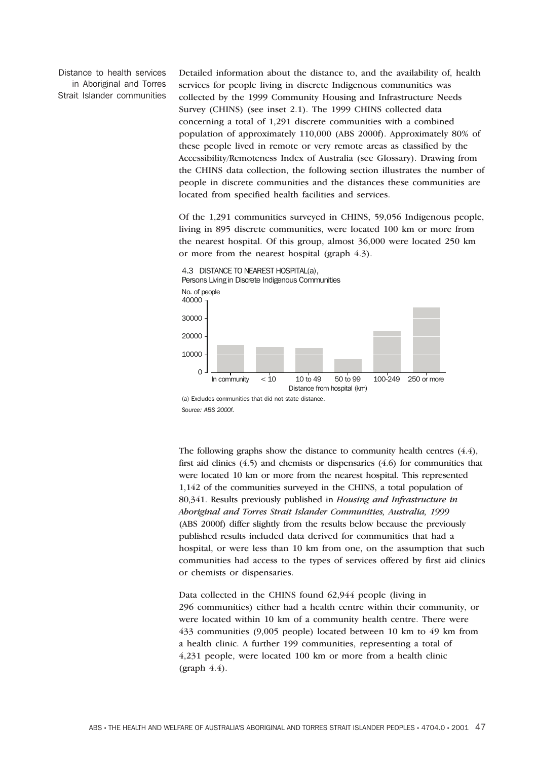Distance to health services in Aboriginal and Torres Strait Islander communities Detailed information about the distance to, and the availability of, health services for people living in discrete Indigenous communities was collected by the 1999 Community Housing and Infrastructure Needs Survey (CHINS) (see inset 2.1). The 1999 CHINS collected data concerning a total of 1,291 discrete communities with a combined population of approximately 110,000 (ABS 2000f). Approximately 80% of these people lived in remote or very remote areas as classified by the Accessibility/Remoteness Index of Australia (see Glossary). Drawing from the CHINS data collection, the following section illustrates the number of people in discrete communities and the distances these communities are located from specified health facilities and services.

Of the 1,291 communities surveyed in CHINS, 59,056 Indigenous people, living in 895 discrete communities, were located 100 km or more from the nearest hospital. Of this group, almost 36,000 were located 250 km or more from the nearest hospital (graph 4.3).



*Source: ABS 2000f.*

The following graphs show the distance to community health centres (4.4), first aid clinics (4.5) and chemists or dispensaries (4.6) for communities that were located 10 km or more from the nearest hospital. This represented 1,142 of the communities surveyed in the CHINS, a total population of 80,341. Results previously published in *Housing and Infrastructure in Aboriginal and Torres Strait Islander Communities, Australia, 1999* (ABS 2000f) differ slightly from the results below because the previously published results included data derived for communities that had a hospital, or were less than 10 km from one, on the assumption that such communities had access to the types of services offered by first aid clinics or chemists or dispensaries.

Data collected in the CHINS found 62,944 people (living in 296 communities) either had a health centre within their community, or were located within 10 km of a community health centre. There were 433 communities (9,005 people) located between 10 km to 49 km from a health clinic. A further 199 communities, representing a total of 4,231 people, were located 100 km or more from a health clinic  $(graph 4.4).$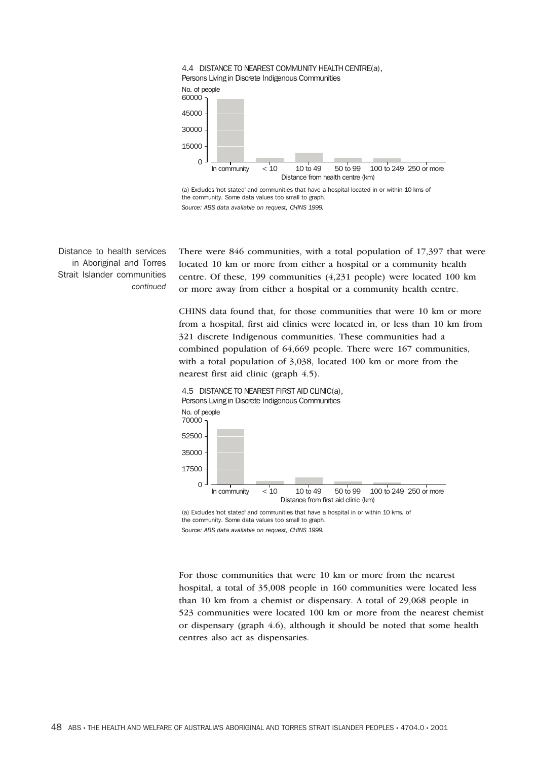



the community. Some data values too small to graph. *Source: ABS data available on request, CHINS 1999.*

Distance to health services in Aboriginal and Torres Strait Islander communities *continued*

There were 846 communities, with a total population of 17,397 that were located 10 km or more from either a hospital or a community health centre. Of these, 199 communities (4,231 people) were located 100 km or more away from either a hospital or a community health centre.

CHINS data found that, for those communities that were 10 km or more from a hospital, first aid clinics were located in, or less than 10 km from 321 discrete Indigenous communities. These communities had a combined population of 64,669 people. There were 167 communities, with a total population of 3,038, located 100 km or more from the nearest first aid clinic (graph 4.5).

4.5 DISTANCE TO NEAREST FIRST AID CLINIC(a), Persons Living in Discrete Indigenous Communities



(a) Excludes 'not stated' and communities that have a hospital in or within 10 kms. of the community. Some data values too small to graph. *Source: ABS data available on request, CHINS 1999.*

For those communities that were 10 km or more from the nearest hospital, a total of 35,008 people in 160 communities were located less than 10 km from a chemist or dispensary. A total of 29,068 people in 523 communities were located 100 km or more from the nearest chemist or dispensary (graph 4.6), although it should be noted that some health centres also act as dispensaries.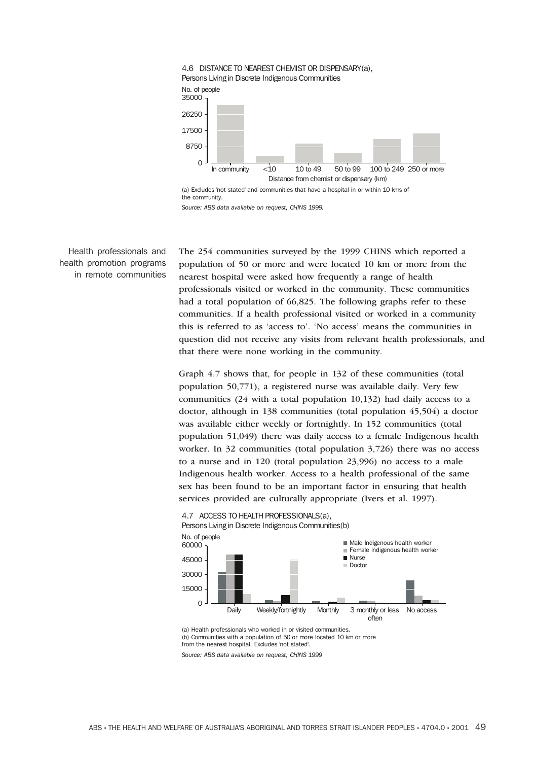

*Source: ABS data available on request, CHINS 1999.*

Health professionals and health promotion programs in remote communities The 254 communities surveyed by the 1999 CHINS which reported a population of 50 or more and were located 10 km or more from the nearest hospital were asked how frequently a range of health professionals visited or worked in the community. These communities had a total population of 66,825. The following graphs refer to these communities. If a health professional visited or worked in a community this is referred to as 'access to'. 'No access' means the communities in question did not receive any visits from relevant health professionals, and that there were none working in the community.

Graph 4.7 shows that, for people in 132 of these communities (total population 50,771), a registered nurse was available daily. Very few communities (24 with a total population 10,132) had daily access to a doctor, although in 138 communities (total population 45,504) a doctor was available either weekly or fortnightly. In 152 communities (total population 51,049) there was daily access to a female Indigenous health worker. In 32 communities (total population 3,726) there was no access to a nurse and in 120 (total population 23,996) no access to a male Indigenous health worker. Access to a health professional of the same sex has been found to be an important factor in ensuring that health services provided are culturally appropriate (Ivers et al. 1997).



(a) Health professionals who worked in or visited communities. (b) Communities with a population of 50 or more located 10 km or more from the nearest hospital. Excludes 'not stated'.

*Source: ABS data available on request, CHINS 1999*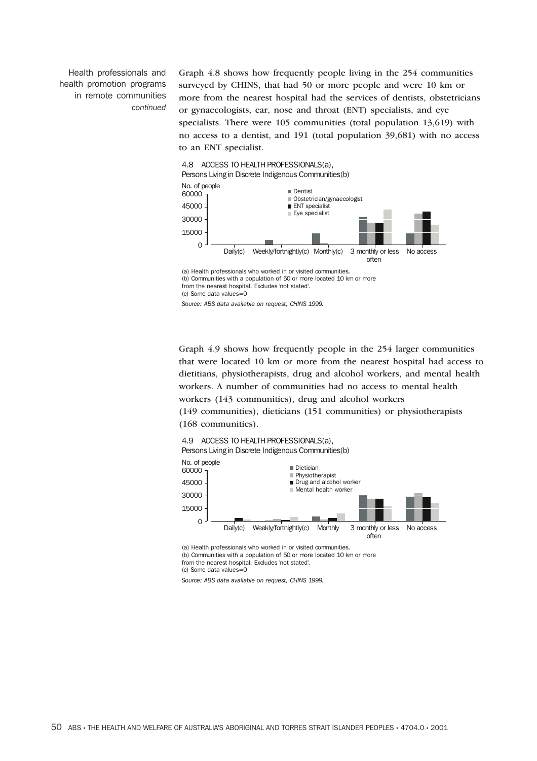Health professionals and health promotion programs in remote communities *continued*

Graph 4.8 shows how frequently people living in the 254 communities surveyed by CHINS, that had 50 or more people and were 10 km or more from the nearest hospital had the services of dentists, obstetricians or gynaecologists, ear, nose and throat (ENT) specialists, and eye specialists. There were 105 communities (total population 13,619) with no access to a dentist, and 191 (total population 39,681) with no access to an ENT specialist.

# 4.8 ACCESS TO HEALTH PROFESSIONALS(a), Persons Living in Discrete Indigenous Communities(b) No. of people



<sup>(</sup>c) Some data values=0

*Source: ABS data available on request, CHINS 1999.*

Graph 4.9 shows how frequently people in the 254 larger communities that were located 10 km or more from the nearest hospital had access to dietitians, physiotherapists, drug and alcohol workers, and mental health workers. A number of communities had no access to mental health workers (143 communities), drug and alcohol workers

(149 communities), dieticians (151 communities) or physiotherapists (168 communities).





(a) Health professionals who worked in or visited communities. (b) Communities with a population of 50 or more located 10 km or more from the nearest hospital. Excludes 'not stated'. (c) Some data values=0

*Source: ABS data available on request, CHINS 1999.*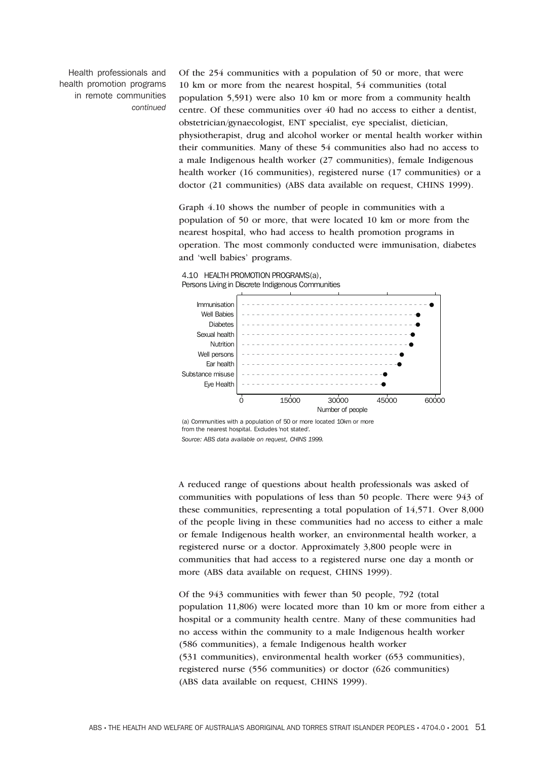Health professionals and health promotion programs in remote communities *continued* Of the 254 communities with a population of 50 or more, that were 10 km or more from the nearest hospital, 54 communities (total population 5,591) were also 10 km or more from a community health centre. Of these communities over 40 had no access to either a dentist, obstetrician/gynaecologist, ENT specialist, eye specialist, dietician, physiotherapist, drug and alcohol worker or mental health worker within their communities. Many of these 54 communities also had no access to a male Indigenous health worker (27 communities), female Indigenous health worker (16 communities), registered nurse (17 communities) or a doctor (21 communities) (ABS data available on request, CHINS 1999).

Graph 4.10 shows the number of people in communities with a population of 50 or more, that were located 10 km or more from the nearest hospital, who had access to health promotion programs in operation. The most commonly conducted were immunisation, diabetes and 'well babies' programs.



4.10 HEALTH PROMOTION PROGRAMS(a), Persons Living in Discrete Indigenous Communities

(a) Communities with a population of 50 or more located 10km or more from the nearest hospital. Excludes 'not stated'. *Source: ABS data available on request, CHINS 1999.*

A reduced range of questions about health professionals was asked of communities with populations of less than 50 people. There were 943 of these communities, representing a total population of 14,571. Over 8,000 of the people living in these communities had no access to either a male or female Indigenous health worker, an environmental health worker, a registered nurse or a doctor. Approximately 3,800 people were in communities that had access to a registered nurse one day a month or more (ABS data available on request, CHINS 1999).

Of the 943 communities with fewer than 50 people, 792 (total population 11,806) were located more than 10 km or more from either a hospital or a community health centre. Many of these communities had no access within the community to a male Indigenous health worker (586 communities), a female Indigenous health worker (531 communities), environmental health worker (653 communities), registered nurse (556 communities) or doctor (626 communities) (ABS data available on request, CHINS 1999).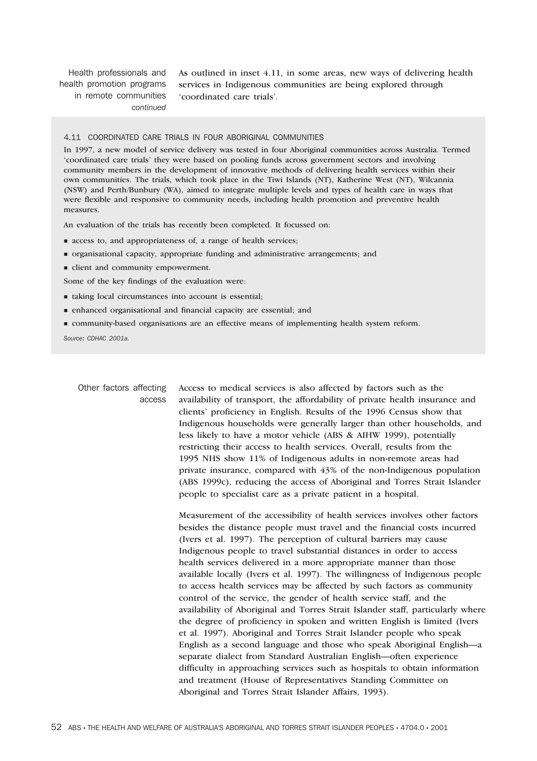Health professionals and health promotion programs in remote communities *continued*

As outlined in inset 4.11, in some areas, new ways of delivering health services in Indigenous communities are being explored through 'coordinated care trials'.

#### 4.11 COORDINATED CARE TRIALS IN FOUR ABORIGINAL COMMUNITIES

In 1997, a new model of service delivery was tested in four Aboriginal communities across Australia. Termed 'coordinated care trials' they were based on pooling funds across government sectors and involving community members in the development of innovative methods of delivering health services within their own communities. The trials, which took place in the Tiwi Islands (NT), Katherine West (NT), Wilcannia (NSW) and Perth/Bunbury (WA), aimed to integrate multiple levels and types of health care in ways that were flexible and responsive to community needs, including health promotion and preventive health measures.

An evaluation of the trials has recently been completed. It focussed on:

- $\blacksquare$  access to, and appropriateness of, a range of health services;
- organisational capacity, appropriate funding and administrative arrangements; and
- $\blacksquare$  client and community empowerment.
- Some of the key findings of the evaluation were:
- $\blacksquare$  taking local circumstances into account is essential;
- enhanced organisational and financial capacity are essential; and
- community-based organisations are an effective means of implementing health system reform.

*Source: CDHAC 2001a.*

Other factors affecting access Access to medical services is also affected by factors such as the availability of transport, the affordability of private health insurance and clients' proficiency in English. Results of the 1996 Census show that Indigenous households were generally larger than other households, and less likely to have a motor vehicle (ABS & AIHW 1999), potentially restricting their access to health services. Overall, results from the 1995 NHS show 11% of Indigenous adults in non-remote areas had private insurance, compared with 43% of the non-Indigenous population (ABS 1999c), reducing the access of Aboriginal and Torres Strait Islander people to specialist care as a private patient in a hospital.

Measurement of the accessibility of health services involves other factors besides the distance people must travel and the financial costs incurred (Ivers et al. 1997). The perception of cultural barriers may cause Indigenous people to travel substantial distances in order to access health services delivered in a more appropriate manner than those available locally (Ivers et al. 1997). The willingness of Indigenous people to access health services may be affected by such factors as community control of the service, the gender of health service staff, and the availability of Aboriginal and Torres Strait Islander staff, particularly where the degree of proficiency in spoken and written English is limited (Ivers et al. 1997). Aboriginal and Torres Strait Islander people who speak English as a second language and those who speak Aboriginal English—a separate dialect from Standard Australian English—often experience difficulty in approaching services such as hospitals to obtain information and treatment (House of Representatives Standing Committee on Aboriginal and Torres Strait Islander Affairs, 1993).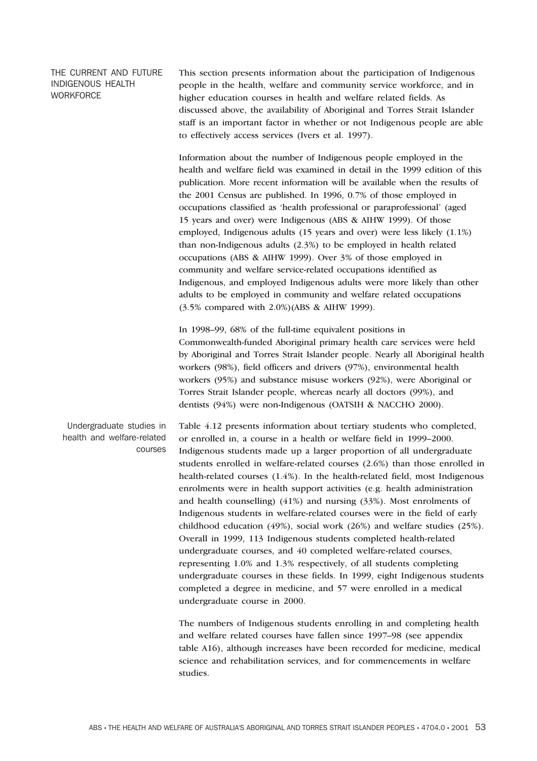# THE CURRENT AND FUTURE INDIGENOUS HEALTH **WORKFORCE**

This section presents information about the participation of Indigenous people in the health, welfare and community service workforce, and in higher education courses in health and welfare related fields. As discussed above, the availability of Aboriginal and Torres Strait Islander staff is an important factor in whether or not Indigenous people are able to effectively access services (Ivers et al. 1997).

Information about the number of Indigenous people employed in the health and welfare field was examined in detail in the 1999 edition of this publication. More recent information will be available when the results of the 2001 Census are published. In 1996, 0.7% of those employed in occupations classified as 'health professional or paraprofessional' (aged 15 years and over) were Indigenous (ABS & AIHW 1999). Of those employed, Indigenous adults (15 years and over) were less likely (1.1%) than non-Indigenous adults (2.3%) to be employed in health related occupations (ABS & AIHW 1999). Over 3% of those employed in community and welfare service-related occupations identified as Indigenous, and employed Indigenous adults were more likely than other adults to be employed in community and welfare related occupations (3.5% compared with 2.0%)(ABS & AIHW 1999).

In 1998–99, 68% of the full-time equivalent positions in Commonwealth-funded Aboriginal primary health care services were held by Aboriginal and Torres Strait Islander people. Nearly all Aboriginal health workers (98%), field officers and drivers (97%), environmental health workers (95%) and substance misuse workers (92%), were Aboriginal or Torres Strait Islander people, whereas nearly all doctors (99%), and dentists (94%) were non-Indigenous (OATSIH & NACCHO 2000).

Undergraduate studies in health and welfare-related courses

Table 4.12 presents information about tertiary students who completed, or enrolled in, a course in a health or welfare field in 1999–2000. Indigenous students made up a larger proportion of all undergraduate students enrolled in welfare-related courses (2.6%) than those enrolled in health-related courses (1.4%). In the health-related field, most Indigenous enrolments were in health support activities (e.g. health administration and health counselling) (41%) and nursing (33%). Most enrolments of Indigenous students in welfare-related courses were in the field of early childhood education (49%), social work (26%) and welfare studies (25%). Overall in 1999, 113 Indigenous students completed health-related undergraduate courses, and 40 completed welfare-related courses, representing 1.0% and 1.3% respectively, of all students completing undergraduate courses in these fields. In 1999, eight Indigenous students completed a degree in medicine, and 57 were enrolled in a medical undergraduate course in 2000.

The numbers of Indigenous students enrolling in and completing health and welfare related courses have fallen since 1997–98 (see appendix table A16), although increases have been recorded for medicine, medical science and rehabilitation services, and for commencements in welfare studies.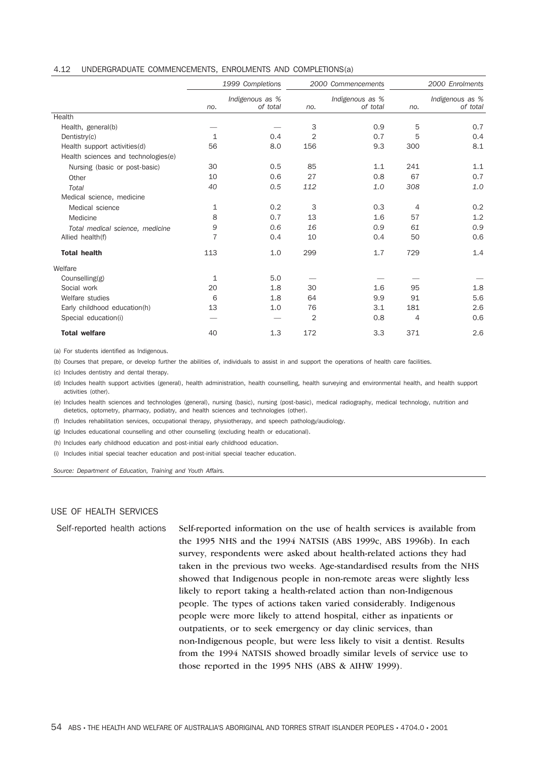|  |  | 4.12 UNDERGRADUATE COMMENCEMENTS, ENROLMENTS AND COMPLETIONS(a) |  |  |  |
|--|--|-----------------------------------------------------------------|--|--|--|
|--|--|-----------------------------------------------------------------|--|--|--|

|                                     | 1999 Completions |                             | 2000 Commencements |                             | 2000 Enrolments |                             |
|-------------------------------------|------------------|-----------------------------|--------------------|-----------------------------|-----------------|-----------------------------|
|                                     | no.              | Indigenous as %<br>of total | no.                | Indigenous as %<br>of total | no.             | Indigenous as %<br>of total |
| Health                              |                  |                             |                    |                             |                 |                             |
| Health, general(b)                  |                  |                             | 3                  | 0.9                         | 5               | 0.7                         |
| Dentistry(c)                        | 1                | 0.4                         | 2                  | 0.7                         | 5               | 0.4                         |
| Health support activities(d)        | 56               | 8.0                         | 156                | 9.3                         | 300             | 8.1                         |
| Health sciences and technologies(e) |                  |                             |                    |                             |                 |                             |
| Nursing (basic or post-basic)       | 30               | 0.5                         | 85                 | 1.1                         | 241             | 1.1                         |
| Other                               | 10               | 0.6                         | 27                 | 0.8                         | 67              | 0.7                         |
| Total                               | 40               | 0.5                         | 112                | 1.0                         | 308             | 1.0                         |
| Medical science, medicine           |                  |                             |                    |                             |                 |                             |
| Medical science                     | 1                | 0.2                         | 3                  | 0.3                         | 4               | 0.2                         |
| Medicine                            | 8                | 0.7                         | 13                 | 1.6                         | 57              | 1.2                         |
| Total medical science, medicine     | 9                | 0.6                         | 16                 | 0.9                         | 61              | 0.9                         |
| Allied health(f)                    | 7                | 0.4                         | 10                 | 0.4                         | 50              | 0.6                         |
| <b>Total health</b>                 | 113              | 1.0                         | 299                | 1.7                         | 729             | 1.4                         |
| Welfare                             |                  |                             |                    |                             |                 |                             |
| Counselling(g)                      | 1                | 5.0                         |                    |                             |                 |                             |
| Social work                         | 20               | 1.8                         | 30                 | 1.6                         | 95              | 1.8                         |
| Welfare studies                     | 6                | 1.8                         | 64                 | 9.9                         | 91              | 5.6                         |
| Early childhood education(h)        | 13               | 1.0                         | 76                 | 3.1                         | 181             | 2.6                         |
| Special education(i)                |                  |                             | 2                  | 0.8                         | 4               | 0.6                         |
| <b>Total welfare</b>                | 40               | 1.3                         | 172                | 3.3                         | 371             | 2.6                         |

(a) For students identified as Indigenous.

(b) Courses that prepare, or develop further the abilities of, individuals to assist in and support the operations of health care facilities.

(c) Includes dentistry and dental therapy.

(d) Includes health support activities (general), health administration, health counselling, health surveying and environmental health, and health support activities (other).

(e) Includes health sciences and technologies (general), nursing (basic), nursing (post-basic), medical radiography, medical technology, nutrition and dietetics, optometry, pharmacy, podiatry, and health sciences and technologies (other).

(f) Includes rehabilitation services, occupational therapy, physiotherapy, and speech pathology/audiology.

(g) Includes educational counselling and other counselling (excluding health or educational).

(h) Includes early childhood education and post-initial early childhood education.

(i) Includes initial special teacher education and post-initial special teacher education.

*Source: Department of Education, Training and Youth Affairs.*

# USE OF HEALTH SERVICES

Self-reported health actions Self-reported information on the use of health services is available from the 1995 NHS and the 1994 NATSIS (ABS 1999c, ABS 1996b). In each survey, respondents were asked about health-related actions they had taken in the previous two weeks. Age-standardised results from the NHS showed that Indigenous people in non-remote areas were slightly less likely to report taking a health-related action than non-Indigenous people. The types of actions taken varied considerably. Indigenous people were more likely to attend hospital, either as inpatients or outpatients, or to seek emergency or day clinic services, than non-Indigenous people, but were less likely to visit a dentist. Results from the 1994 NATSIS showed broadly similar levels of service use to those reported in the 1995 NHS (ABS & AIHW 1999).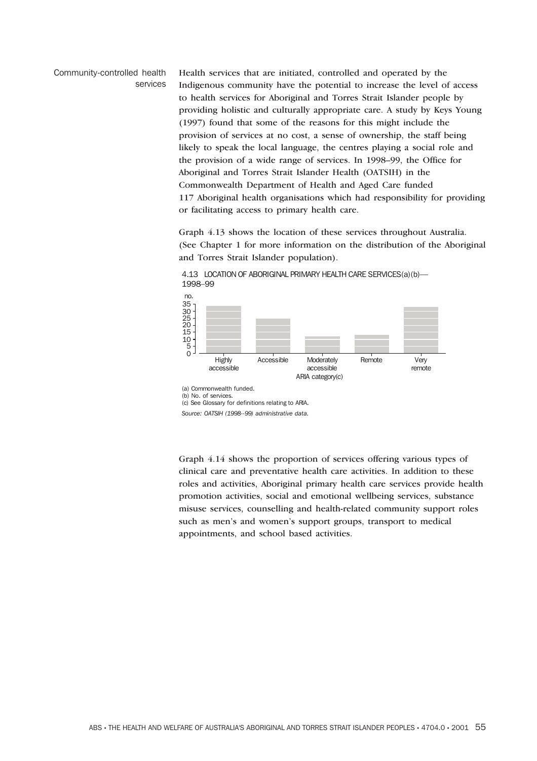### Community-controlled health services

Health services that are initiated, controlled and operated by the Indigenous community have the potential to increase the level of access to health services for Aboriginal and Torres Strait Islander people by providing holistic and culturally appropriate care. A study by Keys Young (1997) found that some of the reasons for this might include the provision of services at no cost, a sense of ownership, the staff being likely to speak the local language, the centres playing a social role and the provision of a wide range of services. In 1998–99, the Office for Aboriginal and Torres Strait Islander Health (OATSIH) in the Commonwealth Department of Health and Aged Care funded 117 Aboriginal health organisations which had responsibility for providing or facilitating access to primary health care.

Graph 4.13 shows the location of these services throughout Australia. (See Chapter 1 for more information on the distribution of the Aboriginal and Torres Strait Islander population).



4.13 LOCATION OF ABORIGINAL PRIMARY HEALTH CARE SERVICES(a)(b)— 1998–99

Graph 4.14 shows the proportion of services offering various types of clinical care and preventative health care activities. In addition to these roles and activities, Aboriginal primary health care services provide health promotion activities, social and emotional wellbeing services, substance misuse services, counselling and health-related community support roles such as men's and women's support groups, transport to medical appointments, and school based activities.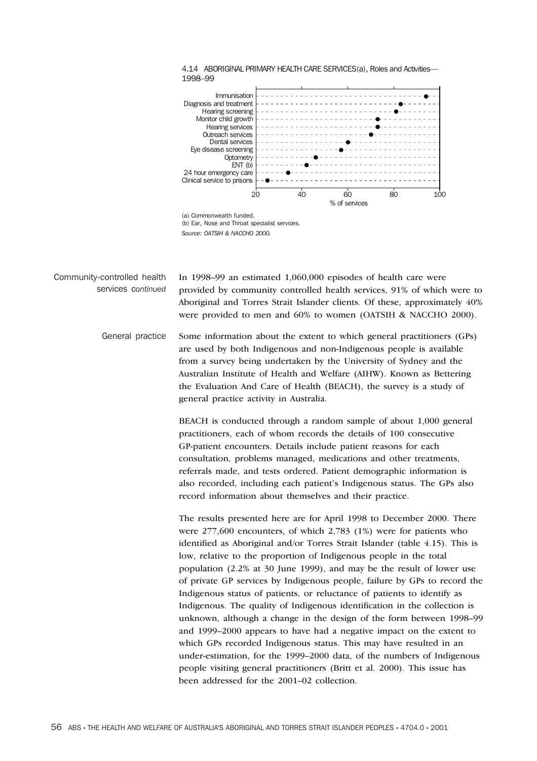



Community-controlled health services c*ontinued* In 1998–99 an estimated 1,060,000 episodes of health care were provided by community controlled health services, 91% of which were to Aboriginal and Torres Strait Islander clients. Of these, approximately 40% were provided to men and 60% to women (OATSIH & NACCHO 2000).

> General practice Some information about the extent to which general practitioners (GPs) are used by both Indigenous and non-Indigenous people is available from a survey being undertaken by the University of Sydney and the Australian Institute of Health and Welfare (AIHW). Known as Bettering the Evaluation And Care of Health (BEACH), the survey is a study of general practice activity in Australia.

> > BEACH is conducted through a random sample of about 1,000 general practitioners, each of whom records the details of 100 consecutive GP-patient encounters. Details include patient reasons for each consultation, problems managed, medications and other treatments, referrals made, and tests ordered. Patient demographic information is also recorded, including each patient's Indigenous status. The GPs also record information about themselves and their practice.

The results presented here are for April 1998 to December 2000. There were 277,600 encounters, of which 2,783 (1%) were for patients who identified as Aboriginal and/or Torres Strait Islander (table 4.15). This is low, relative to the proportion of Indigenous people in the total population (2.2% at 30 June 1999), and may be the result of lower use of private GP services by Indigenous people, failure by GPs to record the Indigenous status of patients, or reluctance of patients to identify as Indigenous. The quality of Indigenous identification in the collection is unknown, although a change in the design of the form between 1998–99 and 1999–2000 appears to have had a negative impact on the extent to which GPs recorded Indigenous status. This may have resulted in an under-estimation, for the 1999–2000 data, of the numbers of Indigenous people visiting general practitioners (Britt et al. 2000). This issue has been addressed for the 2001–02 collection.

*Source: OATSIH & NACCHO 2000.*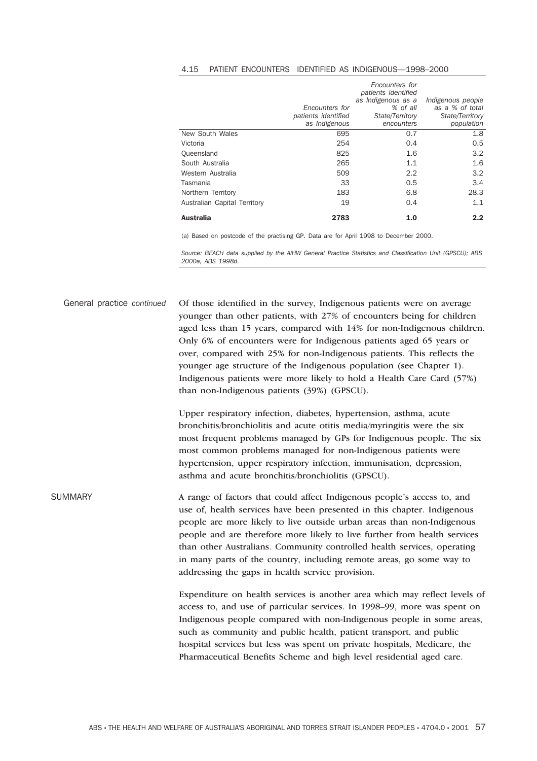#### 4.15 PATIENT ENCOUNTERS IDENTIFIED AS INDIGENOUS—1998–2000

|                              | Encounters for<br>patients identified<br>as Indigenous | Encounters for<br>patients identified<br>as Indigenous as a<br>% of all<br>State/Territory<br>encounters | Indigenous people<br>as a % of total<br>State/Territory<br>population |
|------------------------------|--------------------------------------------------------|----------------------------------------------------------------------------------------------------------|-----------------------------------------------------------------------|
| New South Wales              | 695                                                    | 0.7                                                                                                      | 1.8                                                                   |
| Victoria                     | 254                                                    | 0.4                                                                                                      | 0.5                                                                   |
| Queensland                   | 825                                                    | 1.6                                                                                                      | 3.2                                                                   |
| South Australia              | 265                                                    | 1.1                                                                                                      | 1.6                                                                   |
| Western Australia            | 509                                                    | 2.2                                                                                                      | 3.2                                                                   |
| Tasmania                     | 33                                                     | 0.5                                                                                                      | 3.4                                                                   |
| Northern Territory           | 183                                                    | 6.8                                                                                                      | 28.3                                                                  |
| Australian Capital Territory | 19                                                     | 0.4                                                                                                      | 1.1                                                                   |
| <b>Australia</b>             | 2783                                                   | 1.0                                                                                                      | 2.2                                                                   |

(a) Based on postcode of the practising GP. Data are for April 1998 to December 2000.

*Source: BEACH data supplied by the AIHW General Practice Statistics and Classification Unit (GPSCU); ABS 2000a, ABS 1998d.*

General practice *continued* Of those identified in the survey, Indigenous patients were on average younger than other patients, with 27% of encounters being for children aged less than 15 years, compared with 14% for non-Indigenous children. Only 6% of encounters were for Indigenous patients aged 65 years or over, compared with 25% for non-Indigenous patients. This reflects the younger age structure of the Indigenous population (see Chapter 1). Indigenous patients were more likely to hold a Health Care Card (57%) than non-Indigenous patients (39%) (GPSCU).

> Upper respiratory infection, diabetes, hypertension, asthma, acute bronchitis/bronchiolitis and acute otitis media/myringitis were the six most frequent problems managed by GPs for Indigenous people. The six most common problems managed for non-Indigenous patients were hypertension, upper respiratory infection, immunisation, depression, asthma and acute bronchitis/bronchiolitis (GPSCU).

SUMMARY A range of factors that could affect Indigenous people's access to, and use of, health services have been presented in this chapter. Indigenous people are more likely to live outside urban areas than non-Indigenous people and are therefore more likely to live further from health services than other Australians. Community controlled health services, operating in many parts of the country, including remote areas, go some way to addressing the gaps in health service provision.

> Expenditure on health services is another area which may reflect levels of access to, and use of particular services. In 1998–99, more was spent on Indigenous people compared with non-Indigenous people in some areas, such as community and public health, patient transport, and public hospital services but less was spent on private hospitals, Medicare, the Pharmaceutical Benefits Scheme and high level residential aged care.